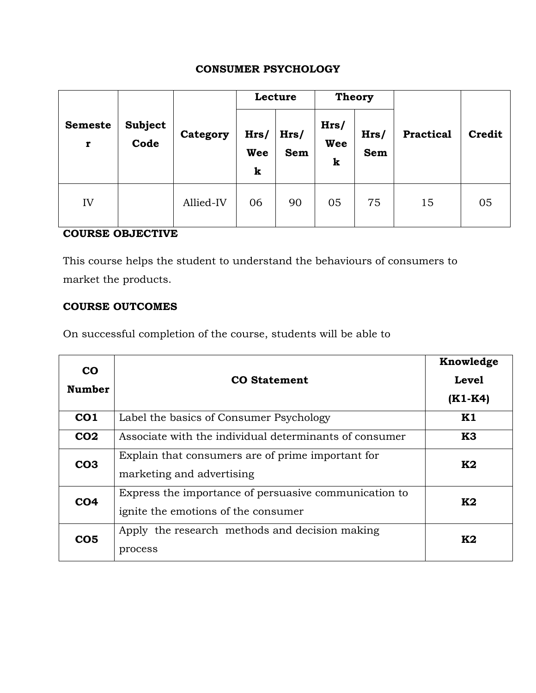# **CONSUMER PSYCHOLOGY**

|                     | <b>Subject</b><br>Code | Category  | Lecture                 |                    | <b>Theory</b>    |             |                  |        |
|---------------------|------------------------|-----------|-------------------------|--------------------|------------------|-------------|------------------|--------|
| <b>Semeste</b><br>r |                        |           | Hrs/<br><b>Wee</b><br>k | Hrs/<br><b>Sem</b> | Hrs/<br>Wee<br>k | Hrs/<br>Sem | <b>Practical</b> | Credit |
| IV                  |                        | Allied-IV | 06                      | 90                 | 05               | 75          | 15               | 05     |

# **COURSE OBJECTIVE**

This course helps the student to understand the behaviours of consumers to market the products.

### **COURSE OUTCOMES**

On successful completion of the course, students will be able to

| $\bf{CO}$<br><b>Number</b> | <b>CO</b> Statement                                                                          | Knowledge<br><b>Level</b><br>$(K1-K4)$ |
|----------------------------|----------------------------------------------------------------------------------------------|----------------------------------------|
| CO <sub>1</sub>            | Label the basics of Consumer Psychology                                                      | K1                                     |
| CO <sub>2</sub>            | Associate with the individual determinants of consumer                                       | <b>K3</b>                              |
| CO <sub>3</sub>            | Explain that consumers are of prime important for<br>marketing and advertising               | K2                                     |
| CO <sub>4</sub>            | Express the importance of persuasive communication to<br>ignite the emotions of the consumer | K2                                     |
| CO <sub>5</sub>            | Apply the research methods and decision making<br>process                                    | K2                                     |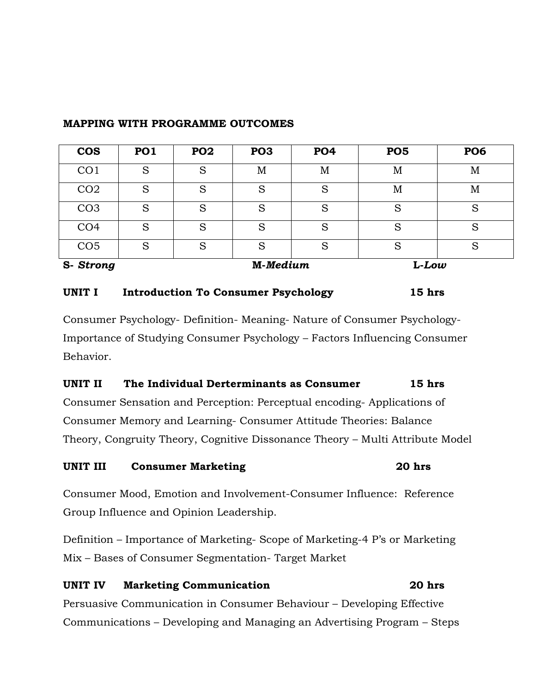| <b>COS</b>      | <b>PO1</b> | PO <sub>2</sub> | PO <sub>3</sub> | <b>PO4</b> | PO <sub>5</sub> | PO <sub>6</sub> |
|-----------------|------------|-----------------|-----------------|------------|-----------------|-----------------|
| CO <sub>1</sub> | S          | S               | M               | M          | M               | M               |
| CO <sub>2</sub> | S          | S               | S               | S          | M               | М               |
| CO <sub>3</sub> | S          | S               | S               | S          | S               | S               |
| CO <sub>4</sub> | S          | S               | S               | S          | S               | S               |
| CO <sub>5</sub> | S          | S               | S               | S          | S               | S               |
| S-Strong        |            |                 | M-Medium        |            | $L$ - $Low$     |                 |

### **MAPPING WITH PROGRAMME OUTCOMES**

### **UNIT I Introduction To Consumer Psychology 15 hrs**

Consumer Psychology- Definition- Meaning- Nature of Consumer Psychology-Importance of Studying Consumer Psychology – Factors Influencing Consumer Behavior.

### **UNIT II The Individual Derterminants as Consumer 15 hrs**

Consumer Sensation and Perception: Perceptual encoding- Applications of Consumer Memory and Learning- Consumer Attitude Theories: Balance Theory, Congruity Theory, Cognitive Dissonance Theory – Multi Attribute Model

### **UNIT III Consumer Marketing 20 hrs**

Consumer Mood, Emotion and Involvement-Consumer Influence: Reference Group Influence and Opinion Leadership.

Definition – Importance of Marketing- Scope of Marketing-4 P's or Marketing Mix – Bases of Consumer Segmentation- Target Market

### **UNIT IV Marketing Communication 20 hrs**

Persuasive Communication in Consumer Behaviour – Developing Effective Communications – Developing and Managing an Advertising Program – Steps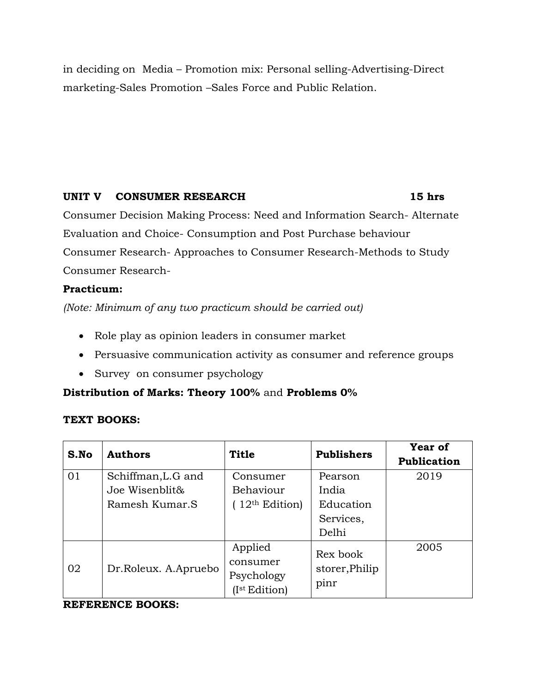in deciding on Media – Promotion mix: Personal selling-Advertising-Direct marketing-Sales Promotion –Sales Force and Public Relation.

### **UNIT V CONSUMER RESEARCH 15 hrs**

Consumer Decision Making Process: Need and Information Search- Alternate Evaluation and Choice- Consumption and Post Purchase behaviour Consumer Research- Approaches to Consumer Research-Methods to Study Consumer Research-

### **Practicum:**

*(Note: Minimum of any two practicum should be carried out)*

- Role play as opinion leaders in consumer market
- Persuasive communication activity as consumer and reference groups
- Survey on consumer psychology

# **Distribution of Marks: Theory 100%** and **Problems 0%**

# **TEXT BOOKS:**

| S.No | <b>Authors</b>       | <b>Title</b>    | <b>Publishers</b> | <b>Year of</b><br><b>Publication</b> |
|------|----------------------|-----------------|-------------------|--------------------------------------|
| 01   | Schiffman, L.G and   | Consumer        | Pearson           | 2019                                 |
|      | Joe Wisenblit&       | Behaviour       | India             |                                      |
|      | Ramesh Kumar.S       | $12th$ Edition) | Education         |                                      |
|      |                      |                 | Services,         |                                      |
|      |                      |                 | Delhi             |                                      |
| 02   |                      | Applied         | Rex book          | 2005                                 |
|      | Dr.Roleux. A.Apruebo | consumer        | storer, Philip    |                                      |
|      |                      | Psychology      | pinr              |                                      |
|      |                      | (Ist Edition)   |                   |                                      |

### **REFERENCE BOOKS:**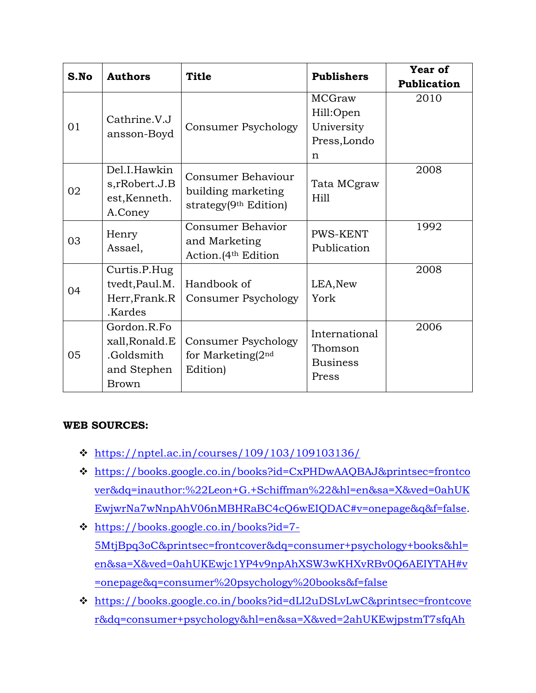| S.No | <b>Authors</b>                                             | <b>Title</b>                                                         | <b>Publishers</b>   | Year of            |
|------|------------------------------------------------------------|----------------------------------------------------------------------|---------------------|--------------------|
|      |                                                            |                                                                      |                     | <b>Publication</b> |
| 01   | Cathrine.V.J<br>ansson-Boyd                                | Consumer Psychology                                                  | <b>MCGraw</b>       | 2010               |
|      |                                                            |                                                                      | Hill:Open           |                    |
|      |                                                            |                                                                      | University          |                    |
|      |                                                            |                                                                      | Press, Londo        |                    |
|      |                                                            |                                                                      | $\mathbf n$         |                    |
| 02   | Del.I.Hawkin<br>s, rRobert.J.B<br>est, Kenneth.<br>A.Coney | Consumer Behaviour<br>building marketing<br>strategy $(9th Edition)$ | Tata MCgraw<br>Hill | 2008               |
| 03   | Henry<br>Assael,                                           | Consumer Behavior                                                    | <b>PWS-KENT</b>     | 1992               |
|      |                                                            | and Marketing                                                        | Publication         |                    |
|      |                                                            | Action. (4 <sup>th</sup> Edition                                     |                     |                    |
|      | Curtis.P.Hug                                               |                                                                      |                     | 2008               |
| 04   | tvedt, Paul.M.                                             | Handbook of                                                          | LEA, New            |                    |
|      | Herr, Frank.R                                              | Consumer Psychology                                                  | York                |                    |
|      | .Kardes                                                    |                                                                      |                     |                    |
| 05   | Gordon.R.Fo                                                |                                                                      | International       | 2006               |
|      | xall, Ronald. E                                            | Consumer Psychology                                                  | Thomson             |                    |
|      | .Goldsmith                                                 | for Marketing(2nd                                                    | <b>Business</b>     |                    |
|      | and Stephen                                                | Edition)                                                             | Press               |                    |
|      | <b>Brown</b>                                               |                                                                      |                     |                    |

# **WEB SOURCES:**

- <https://nptel.ac.in/courses/109/103/109103136/>
- [https://books.google.co.in/books?id=CxPHDwAAQBAJ&printsec=frontco](https://books.google.co.in/books?id=CxPHDwAAQBAJ&printsec=frontcover&dq=inauthor:%22Leon+G.+Schiffman%22&hl=en&sa=X&ved=0ahUKEwjwrNa7wNnpAhV06nMBHRaBC4cQ6wEIQDAC#v=onepage&q&f=false) [ver&dq=inauthor:%22Leon+G.+Schiffman%22&hl=en&sa=X&ved=0ahUK](https://books.google.co.in/books?id=CxPHDwAAQBAJ&printsec=frontcover&dq=inauthor:%22Leon+G.+Schiffman%22&hl=en&sa=X&ved=0ahUKEwjwrNa7wNnpAhV06nMBHRaBC4cQ6wEIQDAC#v=onepage&q&f=false) [EwjwrNa7wNnpAhV06nMBHRaBC4cQ6wEIQDAC#v=onepage&q&f=false.](https://books.google.co.in/books?id=CxPHDwAAQBAJ&printsec=frontcover&dq=inauthor:%22Leon+G.+Schiffman%22&hl=en&sa=X&ved=0ahUKEwjwrNa7wNnpAhV06nMBHRaBC4cQ6wEIQDAC#v=onepage&q&f=false)
- [https://books.google.co.in/books?id=7-](https://books.google.co.in/books?id=7-5MtjBpq3oC&printsec=frontcover&dq=consumer+psychology+books&hl=en&sa=X&ved=0ahUKEwjc1YP4v9npAhXSW3wKHXvRBv0Q6AEIYTAH#v=onepage&q=consumer%20psychology%20books&f=false) [5MtjBpq3oC&printsec=frontcover&dq=consumer+psychology+books&hl=](https://books.google.co.in/books?id=7-5MtjBpq3oC&printsec=frontcover&dq=consumer+psychology+books&hl=en&sa=X&ved=0ahUKEwjc1YP4v9npAhXSW3wKHXvRBv0Q6AEIYTAH#v=onepage&q=consumer%20psychology%20books&f=false) [en&sa=X&ved=0ahUKEwjc1YP4v9npAhXSW3wKHXvRBv0Q6AEIYTAH#v](https://books.google.co.in/books?id=7-5MtjBpq3oC&printsec=frontcover&dq=consumer+psychology+books&hl=en&sa=X&ved=0ahUKEwjc1YP4v9npAhXSW3wKHXvRBv0Q6AEIYTAH#v=onepage&q=consumer%20psychology%20books&f=false) [=onepage&q=consumer%20psychology%20books&f=false](https://books.google.co.in/books?id=7-5MtjBpq3oC&printsec=frontcover&dq=consumer+psychology+books&hl=en&sa=X&ved=0ahUKEwjc1YP4v9npAhXSW3wKHXvRBv0Q6AEIYTAH#v=onepage&q=consumer%20psychology%20books&f=false)
- [https://books.google.co.in/books?id=dLl2uDSLvLwC&printsec=frontcove](https://books.google.co.in/books?id=dLl2uDSLvLwC&printsec=frontcover&dq=consumer+psychology&hl=en&sa=X&ved=2ahUKEwjpstmT7sfqAhUi7XMBHekBBvcQ6AEwA3oECAUQAg#v=onepage&q=consumer%20psychology&f=false) [r&dq=consumer+psychology&hl=en&sa=X&ved=2ahUKEwjpstmT7sfqAh](https://books.google.co.in/books?id=dLl2uDSLvLwC&printsec=frontcover&dq=consumer+psychology&hl=en&sa=X&ved=2ahUKEwjpstmT7sfqAhUi7XMBHekBBvcQ6AEwA3oECAUQAg#v=onepage&q=consumer%20psychology&f=false)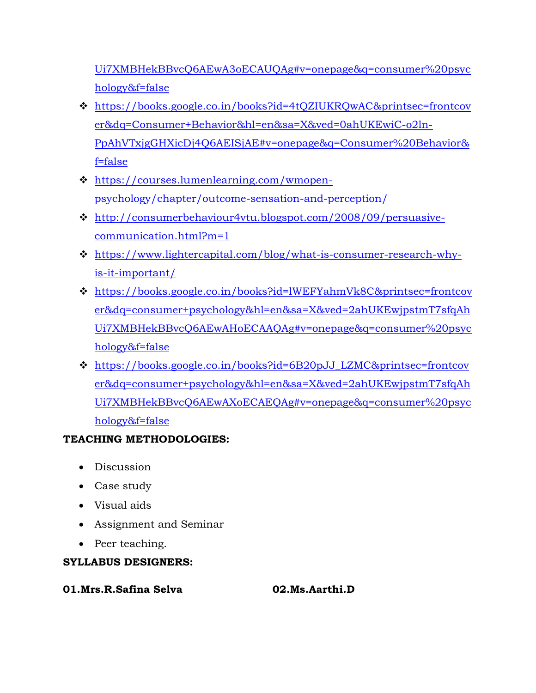Ui7XMBHekBBvcQ6AEwA3oECAUQAg#v=onepage&q=consumer%20psyc hology&f=false

- [https://books.google.co.in/books?id=4tQZIUKRQwAC&printsec=frontcov](https://books.google.co.in/books?id=4tQZIUKRQwAC&printsec=frontcover&dq=Consumer+Behavior&hl=en&sa=X&ved=0ahUKEwiC-o2ln-PpAhVTxjgGHXicDj4Q6AEISjAE#v=onepage&q=Consumer%20Behavior&f=false) [er&dq=Consumer+Behavior&hl=en&sa=X&ved=0ahUKEwiC-o2ln-](https://books.google.co.in/books?id=4tQZIUKRQwAC&printsec=frontcover&dq=Consumer+Behavior&hl=en&sa=X&ved=0ahUKEwiC-o2ln-PpAhVTxjgGHXicDj4Q6AEISjAE#v=onepage&q=Consumer%20Behavior&f=false)[PpAhVTxjgGHXicDj4Q6AEISjAE#v=onepage&q=Consumer%20Behavior&](https://books.google.co.in/books?id=4tQZIUKRQwAC&printsec=frontcover&dq=Consumer+Behavior&hl=en&sa=X&ved=0ahUKEwiC-o2ln-PpAhVTxjgGHXicDj4Q6AEISjAE#v=onepage&q=Consumer%20Behavior&f=false) [f=false](https://books.google.co.in/books?id=4tQZIUKRQwAC&printsec=frontcover&dq=Consumer+Behavior&hl=en&sa=X&ved=0ahUKEwiC-o2ln-PpAhVTxjgGHXicDj4Q6AEISjAE#v=onepage&q=Consumer%20Behavior&f=false)
- [https://courses.lumenlearning.com/wmopen](https://courses.lumenlearning.com/wmopen-psychology/chapter/outcome-sensation-and-perception/)[psychology/chapter/outcome-sensation-and-perception/](https://courses.lumenlearning.com/wmopen-psychology/chapter/outcome-sensation-and-perception/)
- [http://consumerbehaviour4vtu.blogspot.com/2008/09/persuasive](http://consumerbehaviour4vtu.blogspot.com/2008/09/persuasive-communication.html?m=1)[communication.html?m=1](http://consumerbehaviour4vtu.blogspot.com/2008/09/persuasive-communication.html?m=1)
- [https://www.lightercapital.com/blog/what-is-consumer-research-why](https://www.lightercapital.com/blog/what-is-consumer-research-why-is-it-important/)[is-it-important/](https://www.lightercapital.com/blog/what-is-consumer-research-why-is-it-important/)
- [https://books.google.co.in/books?id=lWEFYahmVk8C&printsec=frontcov](https://books.google.co.in/books?id=lWEFYahmVk8C&printsec=frontcover&dq=consumer+psychology&hl=en&sa=X&ved=2ahUKEwjpstmT7sfqAhUi7XMBHekBBvcQ6AEwAHoECAAQAg#v=onepage&q=consumer%20psychology&f=false) [er&dq=consumer+psychology&hl=en&sa=X&ved=2ahUKEwjpstmT7sfqAh](https://books.google.co.in/books?id=lWEFYahmVk8C&printsec=frontcover&dq=consumer+psychology&hl=en&sa=X&ved=2ahUKEwjpstmT7sfqAhUi7XMBHekBBvcQ6AEwAHoECAAQAg#v=onepage&q=consumer%20psychology&f=false) [Ui7XMBHekBBvcQ6AEwAHoECAAQAg#v=onepage&q=consumer%20psyc](https://books.google.co.in/books?id=lWEFYahmVk8C&printsec=frontcover&dq=consumer+psychology&hl=en&sa=X&ved=2ahUKEwjpstmT7sfqAhUi7XMBHekBBvcQ6AEwAHoECAAQAg#v=onepage&q=consumer%20psychology&f=false) [hology&f=false](https://books.google.co.in/books?id=lWEFYahmVk8C&printsec=frontcover&dq=consumer+psychology&hl=en&sa=X&ved=2ahUKEwjpstmT7sfqAhUi7XMBHekBBvcQ6AEwAHoECAAQAg#v=onepage&q=consumer%20psychology&f=false)
- [https://books.google.co.in/books?id=6B20pJJ\\_LZMC&printsec=frontcov](https://books.google.co.in/books?id=6B20pJJ_LZMC&printsec=frontcover&dq=consumer+psychology&hl=en&sa=X&ved=2ahUKEwjpstmT7sfqAhUi7XMBHekBBvcQ6AEwAXoECAEQAg#v=onepage&q=consumer%20psychology&f=false) [er&dq=consumer+psychology&hl=en&sa=X&ved=2ahUKEwjpstmT7sfqAh](https://books.google.co.in/books?id=6B20pJJ_LZMC&printsec=frontcover&dq=consumer+psychology&hl=en&sa=X&ved=2ahUKEwjpstmT7sfqAhUi7XMBHekBBvcQ6AEwAXoECAEQAg#v=onepage&q=consumer%20psychology&f=false) [Ui7XMBHekBBvcQ6AEwAXoECAEQAg#v=onepage&q=consumer%20psyc](https://books.google.co.in/books?id=6B20pJJ_LZMC&printsec=frontcover&dq=consumer+psychology&hl=en&sa=X&ved=2ahUKEwjpstmT7sfqAhUi7XMBHekBBvcQ6AEwAXoECAEQAg#v=onepage&q=consumer%20psychology&f=false) [hology&f=false](https://books.google.co.in/books?id=6B20pJJ_LZMC&printsec=frontcover&dq=consumer+psychology&hl=en&sa=X&ved=2ahUKEwjpstmT7sfqAhUi7XMBHekBBvcQ6AEwAXoECAEQAg#v=onepage&q=consumer%20psychology&f=false)

# **TEACHING METHODOLOGIES:**

- Discussion
- Case study
- Visual aids
- Assignment and Seminar
- Peer teaching.

# **SYLLABUS DESIGNERS:**

# **01.Mrs.R.Safina Selva 02.Ms.Aarthi.D**